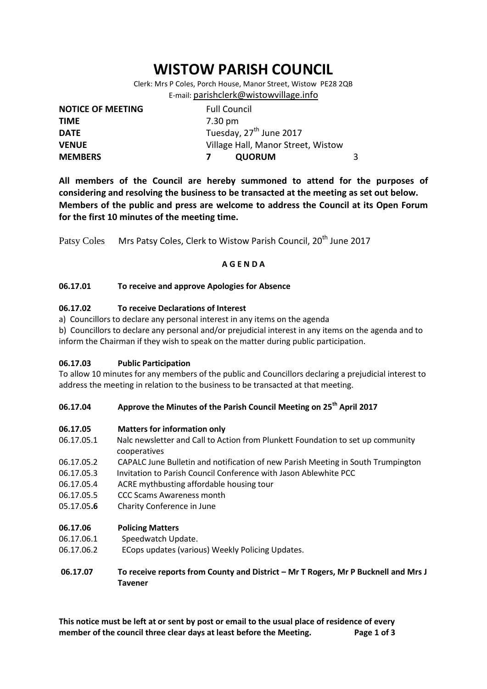# **WISTOW PARISH COUNCIL**

Clerk: Mrs P Coles, Porch House, Manor Street, Wistow PE28 2QB E-mail: [parishclerk@wistowvillage.info](mailto:parishclerk@wistowvillage.info)

| <b>NOTICE OF MEETING</b> | <b>Full Council</b>                 |   |
|--------------------------|-------------------------------------|---|
| <b>TIME</b>              | 7.30 pm                             |   |
| <b>DATE</b>              | Tuesday, 27 <sup>th</sup> June 2017 |   |
| <b>VENUE</b>             | Village Hall, Manor Street, Wistow  |   |
| <b>MEMBERS</b>           | <b>QUORUM</b>                       | 3 |

**All members of the Council are hereby summoned to attend for the purposes of considering and resolving the business to be transacted at the meeting as set out below. Members of the public and press are welcome to address the Council at its Open Forum for the first 10 minutes of the meeting time.**

Patsy Coles Mrs Patsy Coles, Clerk to Wistow Parish Council, 20<sup>th</sup> June 2017

# **A G E N D A**

# **06.17.01 To receive and approve Apologies for Absence**

# **06.17.02 To receive Declarations of Interest**

a) Councillors to declare any personal interest in any items on the agenda

b) Councillors to declare any personal and/or prejudicial interest in any items on the agenda and to inform the Chairman if they wish to speak on the matter during public participation.

# **06.17.03 Public Participation**

To allow 10 minutes for any members of the public and Councillors declaring a prejudicial interest to address the meeting in relation to the business to be transacted at that meeting.

# **06.17.04 Approve the Minutes of the Parish Council Meeting on 25th April 2017**

# **06.17.05 Matters for information only**

- 06.17.05.1 Nalc newsletter and Call to Action from Plunkett Foundation to set up community cooperatives
- 06.17.05.2 CAPALC June Bulletin and notification of new Parish Meeting in South Trumpington
- 06.17.05.3 Invitation to Parish Council Conference with Jason Ablewhite PCC
- 06.17.05.4 ACRE mythbusting affordable housing tour
- 06.17.05.5 CCC Scams Awareness month
- 05.17.05**.6** Charity Conference in June

# **06.17.06 Policing Matters**

- 06.17.06.1 Speedwatch Update.
- 06.17.06.2 ECops updates (various) Weekly Policing Updates.

# **06.17.07 To receive reports from County and District – Mr T Rogers, Mr P Bucknell and Mrs J Tavener**

**This notice must be left at or sent by post or email to the usual place of residence of every member of the council three clear days at least before the Meeting. Page 1 of 3**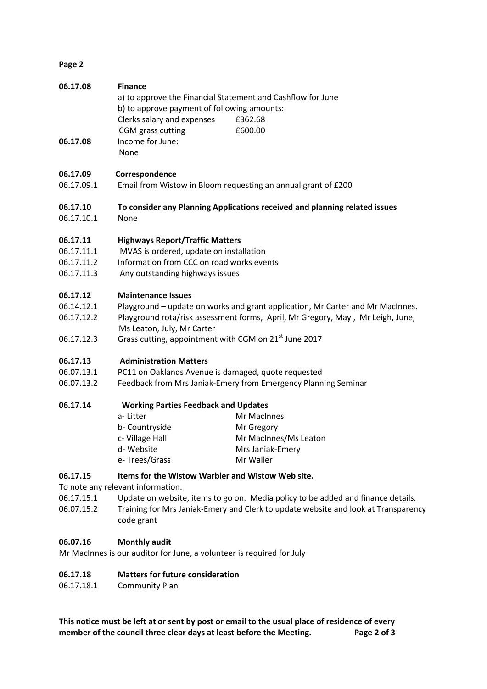# **Page 2**

| 06.17.08 | <b>Finance</b>                                              |         |  |
|----------|-------------------------------------------------------------|---------|--|
|          | a) to approve the Financial Statement and Cashflow for June |         |  |
|          | b) to approve payment of following amounts:                 |         |  |
|          | Clerks salary and expenses                                  | £362.68 |  |
|          | CGM grass cutting                                           | £600.00 |  |
| 06.17.08 | Income for June:                                            |         |  |

None

# **06.17.09 Correspondence**

- 06.17.09.1 Email from Wistow in Bloom requesting an annual grant of £200
- **06.17.10 To consider any Planning Applications received and planning related issues**
- 06.17.10.1 None

# **06.17.11 Highways Report/Traffic Matters**

- 06.17.11.1 MVAS is ordered, update on installation
- 06.17.11.2 Information from CCC on road works events
- 06.17.11.3 Any outstanding highways issues

# **06.17.12 Maintenance Issues**

- 06.14.12.1 Playground update on works and grant application, Mr Carter and Mr MacInnes.
- 06.17.12.2 Playground rota/risk assessment forms, April, Mr Gregory, May , Mr Leigh, June, Ms Leaton, July, Mr Carter
- 06.17.12.3 Grass cutting, appointment with CGM on 21<sup>st</sup> June 2017

# **06.17.13 Administration Matters**

- 06.07.13.1 PC11 on Oaklands Avenue is damaged, quote requested
- 06.07.13.2 Feedback from Mrs Janiak-Emery from Emergency Planning Seminar

# **06.17.14 Working Parties Feedback and Updates**

| Mr MacInnes           |
|-----------------------|
| Mr Gregory            |
| Mr MacInnes/Ms Leaton |
| Mrs Janiak-Emery      |
| Mr Waller             |
|                       |

# **06.17.15 Items for the Wistow Warbler and Wistow Web site.**

To note any relevant information.

06.17.15.1 Update on website, items to go on. Media policy to be added and finance details.

06.07.15.2 Training for Mrs Janiak-Emery and Clerk to update website and look at Transparency code grant

# **06.07.16 Monthly audit**

Mr MacInnes is our auditor for June, a volunteer is required for July

# **06.17.18 Matters for future consideration**

06.17.18.1 Community Plan

**This notice must be left at or sent by post or email to the usual place of residence of every member of the council three clear days at least before the Meeting. Page 2 of 3**